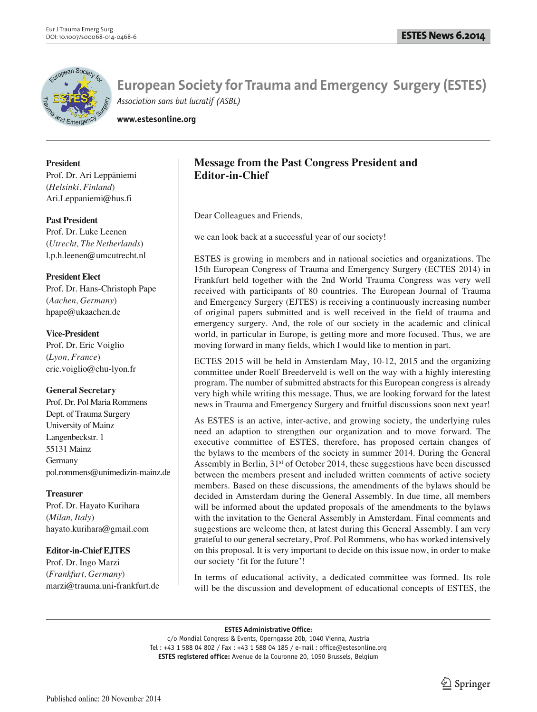

**www.estesonline.org**

## **President**

Prof. Dr. Ari Leppäniemi (*Helsinki, Finland*) Ari.Leppaniemi@hus.fi

## **Past President**

Prof. Dr. Luke Leenen (*Utrecht, The Netherlands*) l.p.h.leenen@umcutrecht.nl

# **President Elect**

Prof. Dr. Hans-Christoph Pape (*Aachen, Germany*) hpape@ukaachen.de

## **Vice-President**

Prof. Dr. Eric Voiglio (*Lyon, France*) eric.voiglio@chu-lyon.fr

# **General Secretary**

Prof. Dr. Pol Maria Rommens Dept. of Trauma Surgery University of Mainz Langenbeckstr. 1 55131 Mainz Germany pol.rommens@unimedizin-mainz.de

# **Treasurer**

Prof. Dr. Hayato Kurihara (*Milan, Italy*) hayato.kurihara@gmail.com

# **Editor-in-Chief EJTES**

Prof. Dr. Ingo Marzi (*Frankfurt, Germany*) marzi@trauma.uni-frankfurt.de

# **Message from the Past Congress President and Editor-in-Chief**

Dear Colleagues and Friends,

we can look back at a successful year of our society!

ESTES is growing in members and in national societies and organizations. The 15th European Congress of Trauma and Emergency Surgery (ECTES 2014) in Frankfurt held together with the 2nd World Trauma Congress was very well received with participants of 80 countries. The European Journal of Trauma and Emergency Surgery (EJTES) is receiving a continuously increasing number of original papers submitted and is well received in the field of trauma and emergency surgery. And, the role of our society in the academic and clinical world, in particular in Europe, is getting more and more focused. Thus, we are moving forward in many fields, which I would like to mention in part.

ECTES 2015 will be held in Amsterdam May, 10-12, 2015 and the organizing committee under Roelf Breederveld is well on the way with a highly interesting program. The number of submitted abstracts for this European congress is already very high while writing this message. Thus, we are looking forward for the latest news in Trauma and Emergency Surgery and fruitful discussions soon next year!

As ESTES is an active, inter-active, and growing society, the underlying rules need an adaption to strengthen our organization and to move forward. The executive committee of ESTES, therefore, has proposed certain changes of the bylaws to the members of the society in summer 2014. During the General Assembly in Berlin,  $31<sup>st</sup>$  of October 2014, these suggestions have been discussed between the members present and included written comments of active society members. Based on these discussions, the amendments of the bylaws should be decided in Amsterdam during the General Assembly. In due time, all members will be informed about the updated proposals of the amendments to the bylaws with the invitation to the General Assembly in Amsterdam. Final comments and suggestions are welcome then, at latest during this General Assembly. I am very grateful to our general secretary, Prof. Pol Rommens, who has worked intensively on this proposal. It is very important to decide on this issue now, in order to make our society 'fit for the future'!

In terms of educational activity, a dedicated committee was formed. Its role will be the discussion and development of educational concepts of ESTES, the

**ESTES Administrative Office:**

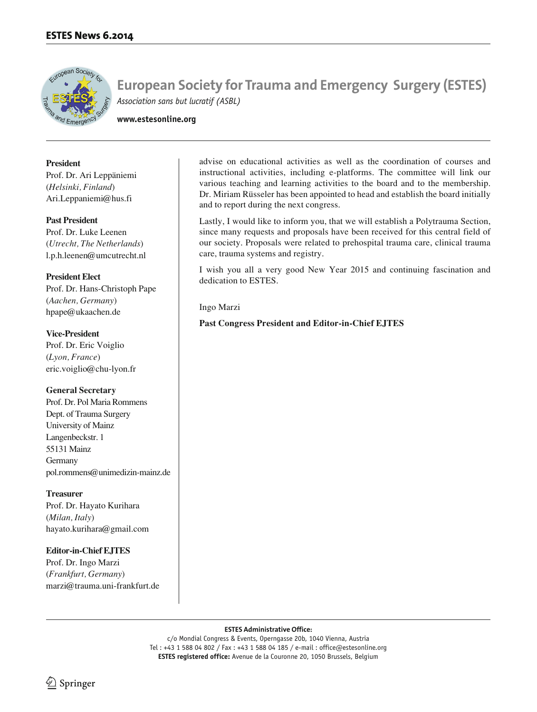

**www.estesonline.org**

**President** 

Prof. Dr. Ari Leppäniemi (*Helsinki, Finland*) Ari.Leppaniemi@hus.fi

### **Past President**

Prof. Dr. Luke Leenen (*Utrecht, The Netherlands*) l.p.h.leenen@umcutrecht.nl

# **President Elect**

Prof. Dr. Hans-Christoph Pape (*Aachen, Germany*) hpape@ukaachen.de

**Vice-President** Prof. Dr. Eric Voiglio (*Lyon, France*) eric.voiglio@chu-lyon.fr

# **General Secretary**

Prof. Dr. Pol Maria Rommens Dept. of Trauma Surgery University of Mainz Langenbeckstr. 1 55131 Mainz Germany pol.rommens@unimedizin-mainz.de

# **Treasurer**

Prof. Dr. Hayato Kurihara (*Milan, Italy*) hayato.kurihara@gmail.com

# **Editor-in-Chief EJTES**

Prof. Dr. Ingo Marzi (*Frankfurt, Germany*) marzi@trauma.uni-frankfurt.de advise on educational activities as well as the coordination of courses and instructional activities, including e-platforms. The committee will link our various teaching and learning activities to the board and to the membership. Dr. Miriam Rüsseler has been appointed to head and establish the board initially and to report during the next congress.

Lastly, I would like to inform you, that we will establish a Polytrauma Section, since many requests and proposals have been received for this central field of our society. Proposals were related to prehospital trauma care, clinical trauma care, trauma systems and registry.

I wish you all a very good New Year 2015 and continuing fascination and dedication to ESTES.

Ingo Marzi

**Past Congress President and Editor-in-Chief EJTES**

### **ESTES Administrative Office:**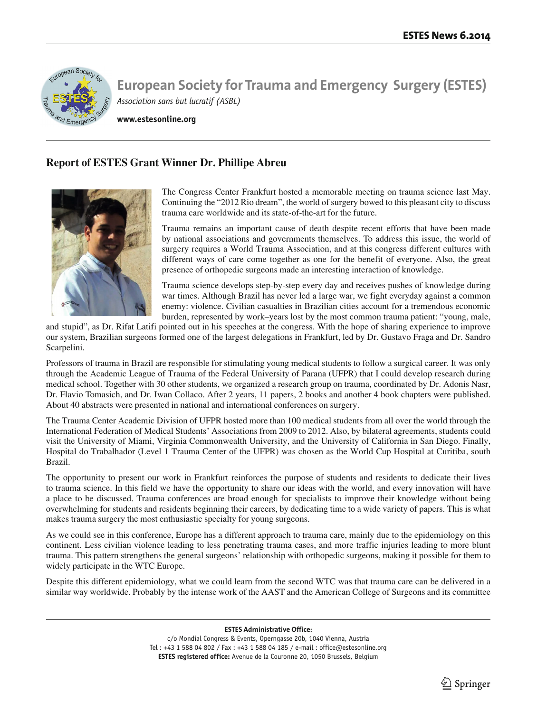

**www.estesonline.org**

# **Report of ESTES Grant Winner Dr. Phillipe Abreu**



The Congress Center Frankfurt hosted a memorable meeting on trauma science last May. Continuing the "2012 Rio dream", the world of surgery bowed to this pleasant city to discuss trauma care worldwide and its state-of-the-art for the future.

Trauma remains an important cause of death despite recent efforts that have been made by national associations and governments themselves. To address this issue, the world of surgery requires a World Trauma Association, and at this congress different cultures with different ways of care come together as one for the benefit of everyone. Also, the great presence of orthopedic surgeons made an interesting interaction of knowledge.

Trauma science develops step-by-step every day and receives pushes of knowledge during war times. Although Brazil has never led a large war, we fight everyday against a common enemy: violence. Civilian casualties in Brazilian cities account for a tremendous economic burden, represented by work–years lost by the most common trauma patient: "young, male,

and stupid", as Dr. Rifat Latifi pointed out in his speeches at the congress. With the hope of sharing experience to improve our system, Brazilian surgeons formed one of the largest delegations in Frankfurt, led by Dr. Gustavo Fraga and Dr. Sandro Scarpelini.

Professors of trauma in Brazil are responsible for stimulating young medical students to follow a surgical career. It was only through the Academic League of Trauma of the Federal University of Parana (UFPR) that I could develop research during medical school. Together with 30 other students, we organized a research group on trauma, coordinated by Dr. Adonis Nasr, Dr. Flavio Tomasich, and Dr. Iwan Collaco. After 2 years, 11 papers, 2 books and another 4 book chapters were published. About 40 abstracts were presented in national and international conferences on surgery.

The Trauma Center Academic Division of UFPR hosted more than 100 medical students from all over the world through the International Federation of Medical Students' Associations from 2009 to 2012. Also, by bilateral agreements, students could visit the University of Miami, Virginia Commonwealth University, and the University of California in San Diego. Finally, Hospital do Trabalhador (Level 1 Trauma Center of the UFPR) was chosen as the World Cup Hospital at Curitiba, south Brazil.

The opportunity to present our work in Frankfurt reinforces the purpose of students and residents to dedicate their lives to trauma science. In this field we have the opportunity to share our ideas with the world, and every innovation will have a place to be discussed. Trauma conferences are broad enough for specialists to improve their knowledge without being overwhelming for students and residents beginning their careers, by dedicating time to a wide variety of papers. This is what makes trauma surgery the most enthusiastic specialty for young surgeons.

As we could see in this conference, Europe has a different approach to trauma care, mainly due to the epidemiology on this continent. Less civilian violence leading to less penetrating trauma cases, and more traffic injuries leading to more blunt trauma. This pattern strengthens the general surgeons' relationship with orthopedic surgeons, making it possible for them to widely participate in the WTC Europe.

Despite this different epidemiology, what we could learn from the second WTC was that trauma care can be delivered in a similar way worldwide. Probably by the intense work of the AAST and the American College of Surgeons and its committee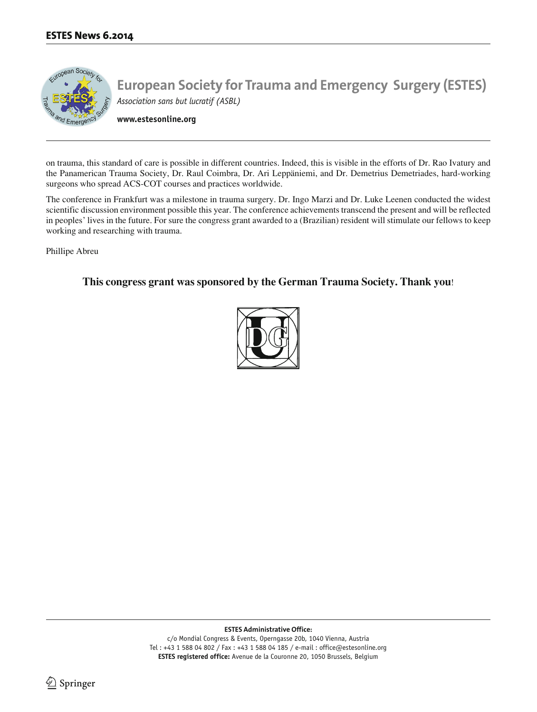

on trauma, this standard of care is possible in different countries. Indeed, this is visible in the efforts of Dr. Rao Ivatury and the Panamerican Trauma Society, Dr. Raul Coimbra, Dr. Ari Leppäniemi, and Dr. Demetrius Demetriades, hard-working surgeons who spread ACS-COT courses and practices worldwide.

The conference in Frankfurt was a milestone in trauma surgery. Dr. Ingo Marzi and Dr. Luke Leenen conducted the widest scientific discussion environment possible this year. The conference achievements transcend the present and will be reflected in peoples' lives in the future. For sure the congress grant awarded to a (Brazilian) resident will stimulate our fellows to keep working and researching with trauma.

Phillipe Abreu

# **This congress grant was sponsored by the German Trauma Society. Thank you**!



**ESTES Administrative Office:**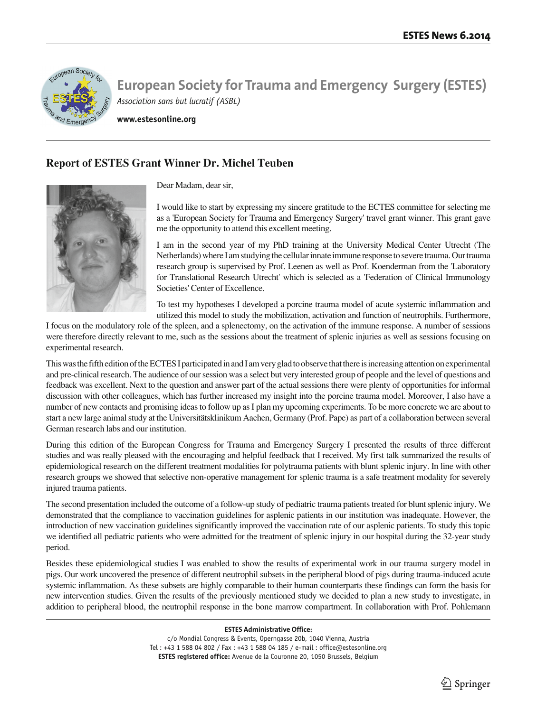

**www.estesonline.org**

# **Report of ESTES Grant Winner Dr. Michel Teuben**

Dear Madam, dear sir,



I would like to start by expressing my sincere gratitude to the ECTES committee for selecting me as a 'European Society for Trauma and Emergency Surgery' travel grant winner. This grant gave me the opportunity to attend this excellent meeting.

I am in the second year of my PhD training at the University Medical Center Utrecht (The Netherlands) where I am studying the cellular innate immune response to severe trauma. Our trauma research group is supervised by Prof. Leenen as well as Prof. Koenderman from the 'Laboratory for Translational Research Utrecht' which is selected as a 'Federation of Clinical Immunology Societies' Center of Excellence.

To test my hypotheses I developed a porcine trauma model of acute systemic inflammation and utilized this model to study the mobilization, activation and function of neutrophils. Furthermore,

I focus on the modulatory role of the spleen, and a splenectomy, on the activation of the immune response. A number of sessions were therefore directly relevant to me, such as the sessions about the treatment of splenic injuries as well as sessions focusing on experimental research.

This was the fifth edition of the ECTES I participated in and I am very glad to observe that there is increasing attention on experimental and pre-clinical research. The audience of our session was a select but very interested group of people and the level of questions and feedback was excellent. Next to the question and answer part of the actual sessions there were plenty of opportunities for informal discussion with other colleagues, which has further increased my insight into the porcine trauma model. Moreover, I also have a number of new contacts and promising ideas to follow up as I plan my upcoming experiments. To be more concrete we are about to start a new large animal study at the Universitätsklinikum Aachen, Germany (Prof. Pape) as part of a collaboration between several German research labs and our institution.

During this edition of the European Congress for Trauma and Emergency Surgery I presented the results of three different studies and was really pleased with the encouraging and helpful feedback that I received. My first talk summarized the results of epidemiological research on the different treatment modalities for polytrauma patients with blunt splenic injury. In line with other research groups we showed that selective non-operative management for splenic trauma is a safe treatment modality for severely injured trauma patients.

The second presentation included the outcome of a follow-up study of pediatric trauma patients treated for blunt splenic injury. We demonstrated that the compliance to vaccination guidelines for asplenic patients in our institution was inadequate. However, the introduction of new vaccination guidelines significantly improved the vaccination rate of our asplenic patients. To study this topic we identified all pediatric patients who were admitted for the treatment of splenic injury in our hospital during the 32-year study period.

Besides these epidemiological studies I was enabled to show the results of experimental work in our trauma surgery model in pigs. Our work uncovered the presence of different neutrophil subsets in the peripheral blood of pigs during trauma-induced acute systemic inflammation. As these subsets are highly comparable to their human counterparts these findings can form the basis for new intervention studies. Given the results of the previously mentioned study we decided to plan a new study to investigate, in addition to peripheral blood, the neutrophil response in the bone marrow compartment. In collaboration with Prof. Pohlemann

**ESTES Administrative Office:**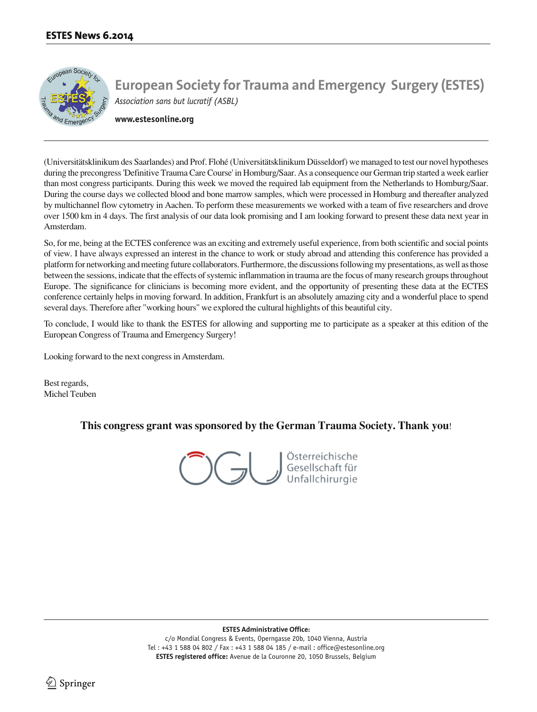

**www.estesonline.org**

(Universitätsklinikum des Saarlandes) and Prof. Flohé (Universitätsklinikum Düsseldorf) we managed to test our novel hypotheses during the precongress 'Definitive Trauma Care Course' in Homburg/Saar. As a consequence our German trip started a week earlier than most congress participants. During this week we moved the required lab equipment from the Netherlands to Homburg/Saar. During the course days we collected blood and bone marrow samples, which were processed in Homburg and thereafter analyzed by multichannel flow cytometry in Aachen. To perform these measurements we worked with a team of five researchers and drove over 1500 km in 4 days. The first analysis of our data look promising and I am looking forward to present these data next year in Amsterdam.

So, for me, being at the ECTES conference was an exciting and extremely useful experience, from both scientific and social points of view. I have always expressed an interest in the chance to work or study abroad and attending this conference has provided a platform for networking and meeting future collaborators. Furthermore, the discussions following my presentations, as well as those between the sessions, indicate that the effects of systemic inflammation in trauma are the focus of many research groups throughout Europe. The significance for clinicians is becoming more evident, and the opportunity of presenting these data at the ECTES conference certainly helps in moving forward. In addition, Frankfurt is an absolutely amazing city and a wonderful place to spend several days. Therefore after "working hours" we explored the cultural highlights of this beautiful city.

To conclude, I would like to thank the ESTES for allowing and supporting me to participate as a speaker at this edition of the European Congress of Trauma and Emergency Surgery!

Looking forward to the next congress in Amsterdam.

Best regards, Michel Teuben

**This congress grant was sponsored by the German Trauma Society. Thank you**!

Österreichische Gesellschaft für

**ESTES Administrative Office:**

c/o Mondial Congress & Events, Operngasse 20b, 1040 Vienna, Austria Tel : +43 1 588 04 802 / Fax : +43 1 588 04 185 / e-mail : office@estesonline.org **ESTES registered office:** Avenue de la Couronne 20, 1050 Brussels, Belgium

 $\Delta$  Springer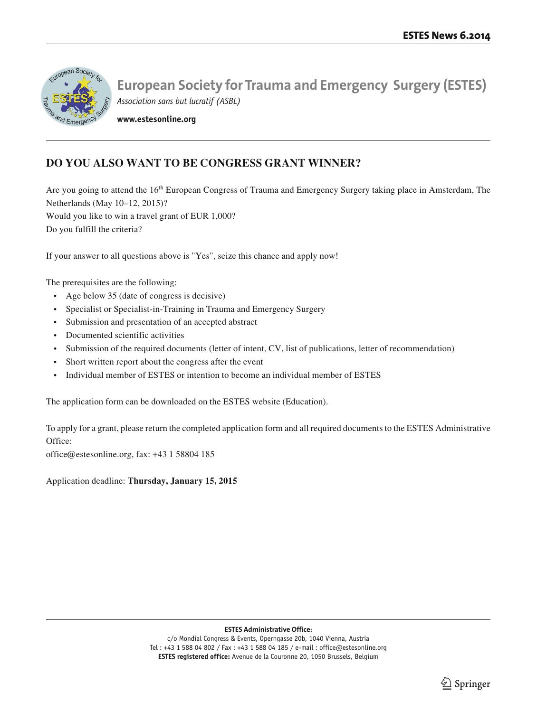

**www.estesonline.org**

# **DO YOU ALSO WANT TO BE CONGRESS GRANT WINNER?**

Are you going to attend the 16<sup>th</sup> European Congress of Trauma and Emergency Surgery taking place in Amsterdam, The Netherlands (May 10–12, 2015)? Would you like to win a travel grant of EUR 1,000? Do you fulfill the criteria?

If your answer to all questions above is "Yes", seize this chance and apply now!

The prerequisites are the following:

- Age below 35 (date of congress is decisive)
- Specialist or Specialist-in-Training in Trauma and Emergency Surgery
- Submission and presentation of an accepted abstract
- Documented scientific activities
- Submission of the required documents (letter of intent, CV, list of publications, letter of recommendation)
- Short written report about the congress after the event
- Individual member of ESTES or intention to become an individual member of ESTES

The application form can be downloaded on the ESTES website (Education).

To apply for a grant, please return the completed application form and all required documents to the ESTES Administrative Office:

office@estesonline.org, fax: +43 1 58804 185

Application deadline: **Thursday, January 15, 2015**

### **ESTES Administrative Office:**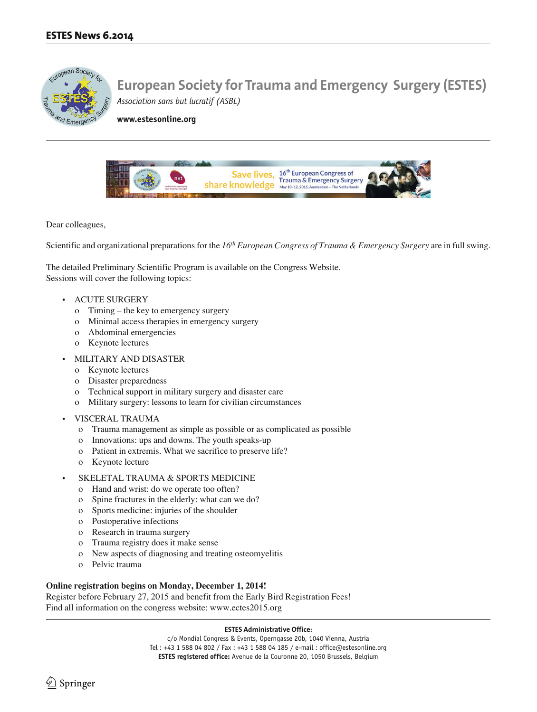

**www.estesonline.org**



Dear colleagues,

Scientific and organizational preparations for the 16<sup>th</sup> European Congress of Trauma & Emergency Surgery are in full swing.

The detailed Preliminary Scientific Program is available on the Congress Website. Sessions will cover the following topics:

- ACUTE SURGERY
	- o Timing the key to emergency surgery
	- o Minimal access therapies in emergency surgery
	- o Abdominal emergencies
	- o Keynote lectures
- MILITARY AND DISASTER
	- o Keynote lectures
	- o Disaster preparedness
	- o Technical support in military surgery and disaster care
	- o Military surgery: lessons to learn for civilian circumstances
- VISCERAL TRAUMA
	- o Trauma management as simple as possible or as complicated as possible
	- o Innovations: ups and downs. The youth speaks-up
	- o Patient in extremis. What we sacrifice to preserve life?
	- o Keynote lecture
- SKELETAL TRAUMA & SPORTS MEDICINE
	- o Hand and wrist: do we operate too often?
	- o Spine fractures in the elderly: what can we do?
	- o Sports medicine: injuries of the shoulder
	- o Postoperative infections
	- o Research in trauma surgery
	- o Trauma registry does it make sense
	- o New aspects of diagnosing and treating osteomyelitis
	- o Pelvic trauma

### **Online registration begins on Monday, December 1, 2014!**

Register before February 27, 2015 and benefit from the Early Bird Registration Fees! Find all information on the congress website: www.ectes2015.org

#### **ESTES Administrative Office:**

c/o Mondial Congress & Events, Operngasse 20b, 1040 Vienna, Austria Tel : +43 1 588 04 802 / Fax : +43 1 588 04 185 / e-mail : office@estesonline.org **ESTES registered office:** Avenue de la Couronne 20, 1050 Brussels, Belgium

 $\Im$  Springer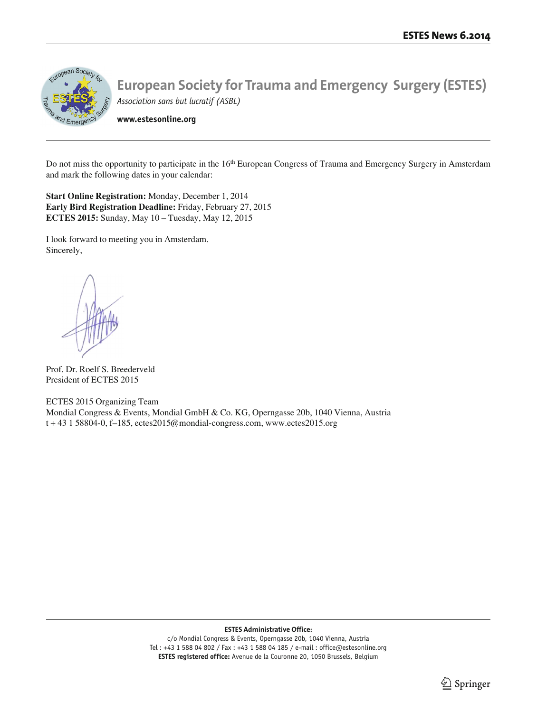

**www.estesonline.org**

Do not miss the opportunity to participate in the 16<sup>th</sup> European Congress of Trauma and Emergency Surgery in Amsterdam and mark the following dates in your calendar:

**Start Online Registration:** Monday, December 1, 2014 **Early Bird Registration Deadline:** Friday, February 27, 2015 **ECTES 2015:** Sunday, May 10 – Tuesday, May 12, 2015

I look forward to meeting you in Amsterdam. Sincerely,

Prof. Dr. Roelf S. Breederveld President of ECTES 2015

ECTES 2015 Organizing Team Mondial Congress & Events, Mondial GmbH & Co. KG, Operngasse 20b, 1040 Vienna, Austria t + 43 1 58804-0, f–185, ectes2015@mondial-congress.com, www.ectes2015.org

#### **ESTES Administrative Office:**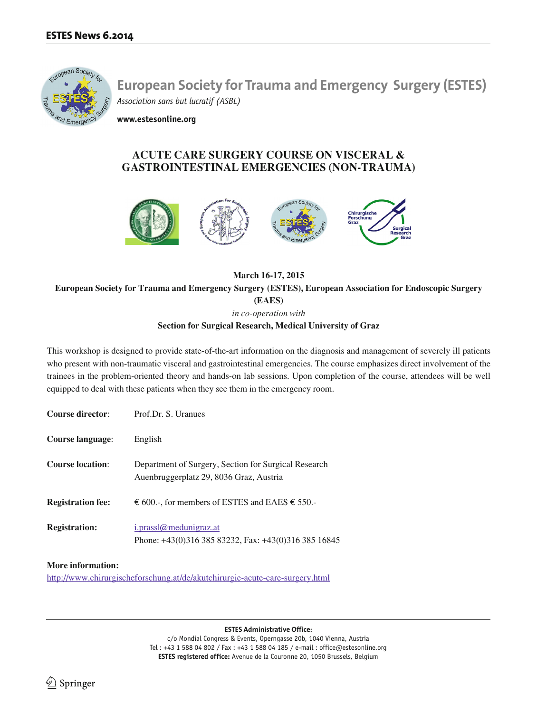

**www.estesonline.org**

# **ACUTE CARE SURGERY COURSE ON VISCERAL & GASTROINTESTINAL EMERGENCIES (NON-TRAUMA)**



**March 16-17, 2015 European Society for Trauma and Emergency Surgery (ESTES), European Association for Endoscopic Surgery (EAES)** *in co-operation with*

**Section for Surgical Research, Medical University of Graz**

This workshop is designed to provide state-of-the-art information on the diagnosis and management of severely ill patients who present with non-traumatic visceral and gastrointestinal emergencies. The course emphasizes direct involvement of the trainees in the problem-oriented theory and hands-on lab sessions. Upon completion of the course, attendees will be well equipped to deal with these patients when they see them in the emergency room.

| <b>Course director:</b>  | Prof.Dr. S. Uranues                                                                             |
|--------------------------|-------------------------------------------------------------------------------------------------|
| Course language:         | English                                                                                         |
| <b>Course location:</b>  | Department of Surgery, Section for Surgical Research<br>Auenbruggerplatz 29, 8036 Graz, Austria |
| <b>Registration fee:</b> | € 600.-, for members of ESTES and EAES $\epsilon$ 550.-                                         |
| <b>Registration:</b>     | i.prassl@medunigraz.at<br>Phone: $+43(0)31638583232$ , Fax: $+43(0)31638516845$                 |

## **More information:**

http://www.chirurgischeforschung.at/de/akutchirurgie-acute-care-surgery.html